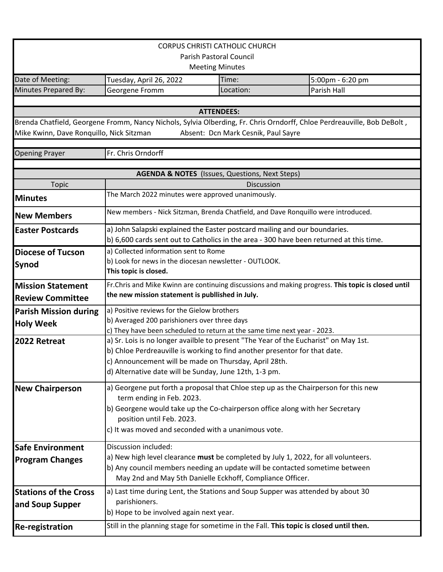| <b>CORPUS CHRISTI CATHOLIC CHURCH</b>                                                                                                                                                                      |                                                                                                                                          |           |                  |  |
|------------------------------------------------------------------------------------------------------------------------------------------------------------------------------------------------------------|------------------------------------------------------------------------------------------------------------------------------------------|-----------|------------------|--|
| Parish Pastoral Council                                                                                                                                                                                    |                                                                                                                                          |           |                  |  |
| <b>Meeting Minutes</b>                                                                                                                                                                                     |                                                                                                                                          |           |                  |  |
| Date of Meeting:                                                                                                                                                                                           | Tuesday, April 26, 2022                                                                                                                  | Time:     | 5:00pm - 6:20 pm |  |
| Minutes Prepared By:                                                                                                                                                                                       | Georgene Fromm                                                                                                                           | Location: | Parish Hall      |  |
|                                                                                                                                                                                                            |                                                                                                                                          |           |                  |  |
| <b>ATTENDEES:</b>                                                                                                                                                                                          |                                                                                                                                          |           |                  |  |
| Brenda Chatfield, Georgene Fromm, Nancy Nichols, Sylvia Olberding, Fr. Chris Orndorff, Chloe Perdreauville, Bob DeBolt,<br>Mike Kwinn, Dave Ronquillo, Nick Sitzman<br>Absent: Dcn Mark Cesnik, Paul Sayre |                                                                                                                                          |           |                  |  |
| <b>Opening Prayer</b>                                                                                                                                                                                      | Fr. Chris Orndorff                                                                                                                       |           |                  |  |
| <b>AGENDA &amp; NOTES</b> (Issues, Questions, Next Steps)                                                                                                                                                  |                                                                                                                                          |           |                  |  |
| <b>Topic</b>                                                                                                                                                                                               | Discussion                                                                                                                               |           |                  |  |
| <b>Minutes</b>                                                                                                                                                                                             | The March 2022 minutes were approved unanimously.                                                                                        |           |                  |  |
| <b>New Members</b>                                                                                                                                                                                         | New members - Nick Sitzman, Brenda Chatfield, and Dave Ronquillo were introduced.                                                        |           |                  |  |
| <b>Easter Postcards</b>                                                                                                                                                                                    | a) John Salapski explained the Easter postcard mailing and our boundaries.                                                               |           |                  |  |
|                                                                                                                                                                                                            | b) 6,600 cards sent out to Catholics in the area - 300 have been returned at this time.                                                  |           |                  |  |
| <b>Diocese of Tucson</b>                                                                                                                                                                                   | a) Collected information sent to Rome<br>b) Look for news in the diocesan newsletter - OUTLOOK.                                          |           |                  |  |
| Synod                                                                                                                                                                                                      | This topic is closed.                                                                                                                    |           |                  |  |
| <b>Mission Statement</b>                                                                                                                                                                                   | Fr. Chris and Mike Kwinn are continuing discussions and making progress. This topic is closed until                                      |           |                  |  |
| <b>Review Committee</b>                                                                                                                                                                                    | the new mission statement is publlished in July.                                                                                         |           |                  |  |
| <b>Parish Mission during</b>                                                                                                                                                                               | a) Positive reviews for the Gielow brothers                                                                                              |           |                  |  |
| <b>Holy Week</b>                                                                                                                                                                                           | b) Averaged 200 parishioners over three days<br>c) They have been scheduled to return at the same time next year - 2023.                 |           |                  |  |
| 2022 Retreat                                                                                                                                                                                               | a) Sr. Lois is no longer availble to present "The Year of the Eucharist" on May 1st.                                                     |           |                  |  |
|                                                                                                                                                                                                            | b) Chloe Perdreauville is working to find another presentor for that date.                                                               |           |                  |  |
|                                                                                                                                                                                                            | c) Announcement will be made on Thursday, April 28th.                                                                                    |           |                  |  |
|                                                                                                                                                                                                            | d) Alternative date will be Sunday, June 12th, 1-3 pm.                                                                                   |           |                  |  |
| <b>New Chairperson</b>                                                                                                                                                                                     | a) Georgene put forth a proposal that Chloe step up as the Chairperson for this new                                                      |           |                  |  |
|                                                                                                                                                                                                            | term ending in Feb. 2023.                                                                                                                |           |                  |  |
|                                                                                                                                                                                                            | b) Georgene would take up the Co-chairperson office along with her Secretary                                                             |           |                  |  |
|                                                                                                                                                                                                            | position until Feb. 2023.                                                                                                                |           |                  |  |
|                                                                                                                                                                                                            | c) It was moved and seconded with a unanimous vote.                                                                                      |           |                  |  |
| <b>Safe Environment</b>                                                                                                                                                                                    | Discussion included:                                                                                                                     |           |                  |  |
| <b>Program Changes</b>                                                                                                                                                                                     | a) New high level clearance must be completed by July 1, 2022, for all volunteers.                                                       |           |                  |  |
|                                                                                                                                                                                                            | b) Any council members needing an update will be contacted sometime between<br>May 2nd and May 5th Danielle Eckhoff, Compliance Officer. |           |                  |  |
| <b>Stations of the Cross</b>                                                                                                                                                                               | a) Last time during Lent, the Stations and Soup Supper was attended by about 30                                                          |           |                  |  |
| and Soup Supper                                                                                                                                                                                            | parishioners.                                                                                                                            |           |                  |  |
|                                                                                                                                                                                                            | b) Hope to be involved again next year.                                                                                                  |           |                  |  |
| <b>Re-registration</b>                                                                                                                                                                                     | Still in the planning stage for sometime in the Fall. This topic is closed until then.                                                   |           |                  |  |